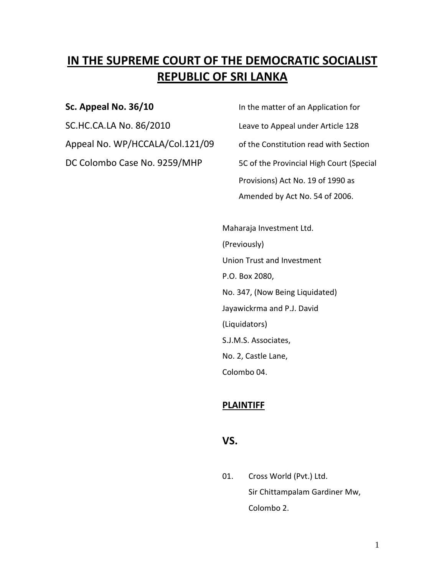# **IN THE SUPREME COURT OF THE DEMOCRATIC SOCIALIST REPUBLIC OF SRI LANKA**

SC.HC.CA.LA No. 86/2010 Leave to Appeal under Article 128 Appeal No. WP/HCCALA/Col.121/09 of the Constitution read with Section DC Colombo Case No. 9259/MHP 5C of the Provincial High Court (Special

**Sc. Appeal No. 36/10 In the matter of an Application for** Provisions) Act No. 19 of 1990 as Amended by Act No. 54 of 2006.

> Maharaja Investment Ltd. (Previously) Union Trust and Investment P.O. Box 2080, No. 347, (Now Being Liquidated) Jayawickrma and P.J. David (Liquidators) S.J.M.S. Associates, No. 2, Castle Lane, Colombo 04.

### **PLAINTIFF**

### **VS.**

01. Cross World (Pvt.) Ltd. Sir Chittampalam Gardiner Mw, Colombo 2.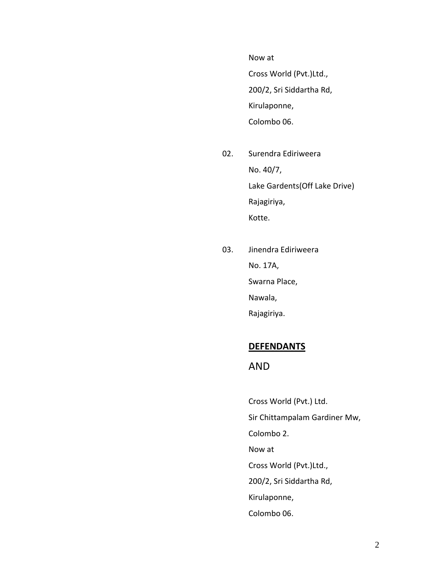Now at

Cross World (Pvt.)Ltd., 200/2, Sri Siddartha Rd, Kirulaponne, Colombo 06.

- 02. Surendra Ediriweera No. 40/7, Lake Gardents(Off Lake Drive) Rajagiriya, Kotte.
- 03. Jinendra Ediriweera No. 17A, Swarna Place, Nawala, Rajagiriya.

### **DEFENDANTS**

### AND

Cross World (Pvt.) Ltd. Sir Chittampalam Gardiner Mw, Colombo 2. Now at Cross World (Pvt.)Ltd., 200/2, Sri Siddartha Rd, Kirulaponne, Colombo 06.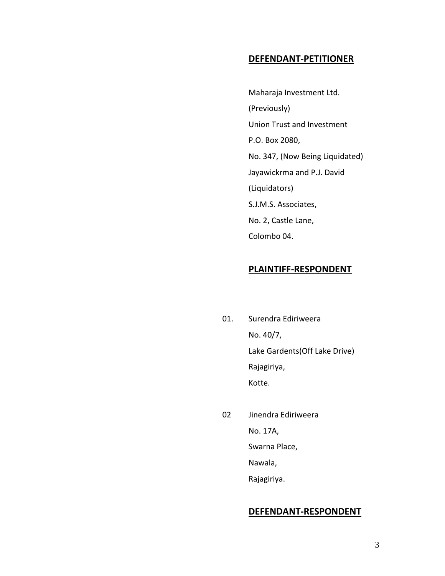### **DEFENDANT-PETITIONER**

Maharaja Investment Ltd. (Previously) Union Trust and Investment P.O. Box 2080, No. 347, (Now Being Liquidated) Jayawickrma and P.J. David (Liquidators) S.J.M.S. Associates, No. 2, Castle Lane, Colombo 04.

### **PLAINTIFF-RESPONDENT**

- 01. Surendra Ediriweera No. 40/7, Lake Gardents(Off Lake Drive) Rajagiriya, Kotte.
- 02 Jinendra Ediriweera No. 17A, Swarna Place, Nawala, Rajagiriya.

### **DEFENDANT-RESPONDENT**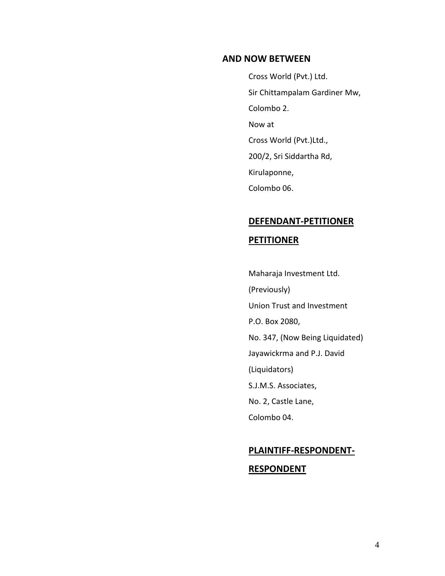### **AND NOW BETWEEN**

Cross World (Pvt.) Ltd. Sir Chittampalam Gardiner Mw, Colombo 2. Now at Cross World (Pvt.)Ltd., 200/2, Sri Siddartha Rd, Kirulaponne, Colombo 06.

# **DEFENDANT-PETITIONER PETITIONER**

Maharaja Investment Ltd. (Previously) Union Trust and Investment P.O. Box 2080, No. 347, (Now Being Liquidated) Jayawickrma and P.J. David (Liquidators) S.J.M.S. Associates, No. 2, Castle Lane, Colombo 04.

# **PLAINTIFF-RESPONDENT-RESPONDENT**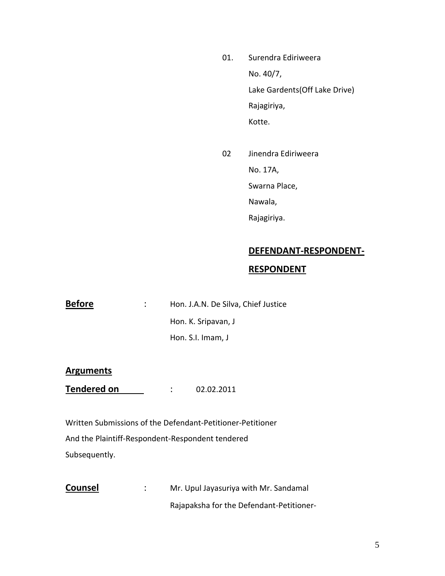- 01. Surendra Ediriweera No. 40/7, Lake Gardents(Off Lake Drive) Rajagiriya, Kotte.
- 02 Jinendra Ediriweera No. 17A, Swarna Place, Nawala, Rajagiriya.

### **DEFENDANT-RESPONDENT-**

### **RESPONDENT**

**Before** : Hon. J.A.N. De Silva, Chief Justice Hon. K. Sripavan, J Hon. S.I. Imam, J

#### **Arguments**

**Tendered on** : 02.02.2011

Written Submissions of the Defendant-Petitioner-Petitioner And the Plaintiff-Respondent-Respondent tendered Subsequently.

**Counsel** : Mr. Upul Jayasuriya with Mr. Sandamal Rajapaksha for the Defendant-Petitioner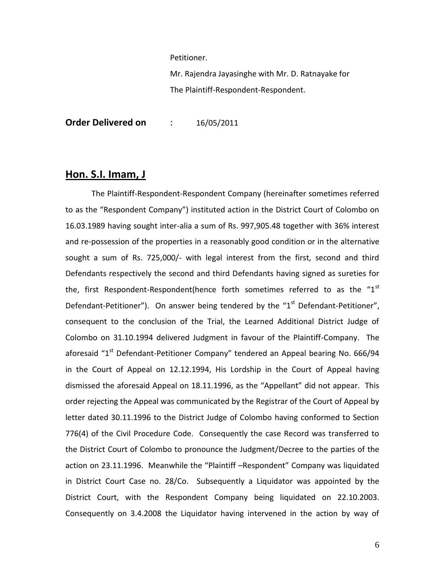Petitioner.

Mr. Rajendra Jayasinghe with Mr. D. Ratnayake for The Plaintiff-Respondent-Respondent.

**Order Delivered on** : 16/05/2011

### **Hon. S.I. Imam, J**

The Plaintiff-Respondent-Respondent Company (hereinafter sometimes referred to as the "Respondent Company") instituted action in the District Court of Colombo on 16.03.1989 having sought inter-alia a sum of Rs. 997,905.48 together with 36% interest and re-possession of the properties in a reasonably good condition or in the alternative sought a sum of Rs. 725,000/- with legal interest from the first, second and third Defendants respectively the second and third Defendants having signed as sureties for the, first Respondent-Respondent(hence forth sometimes referred to as the " $1<sup>st</sup>$ Defendant-Petitioner"). On answer being tendered by the " $1<sup>st</sup>$  Defendant-Petitioner", consequent to the conclusion of the Trial, the Learned Additional District Judge of Colombo on 31.10.1994 delivered Judgment in favour of the Plaintiff-Company. The aforesaid "1<sup>st</sup> Defendant-Petitioner Company" tendered an Appeal bearing No. 666/94 in the Court of Appeal on 12.12.1994, His Lordship in the Court of Appeal having dismissed the aforesaid Appeal on 18.11.1996, as the "Appellant" did not appear. This order rejecting the Appeal was communicated by the Registrar of the Court of Appeal by letter dated 30.11.1996 to the District Judge of Colombo having conformed to Section 776(4) of the Civil Procedure Code. Consequently the case Record was transferred to the District Court of Colombo to pronounce the Judgment/Decree to the parties of the action on 23.11.1996. Meanwhile the "Plaintiff –Respondent" Company was liquidated in District Court Case no. 28/Co. Subsequently a Liquidator was appointed by the District Court, with the Respondent Company being liquidated on 22.10.2003. Consequently on 3.4.2008 the Liquidator having intervened in the action by way of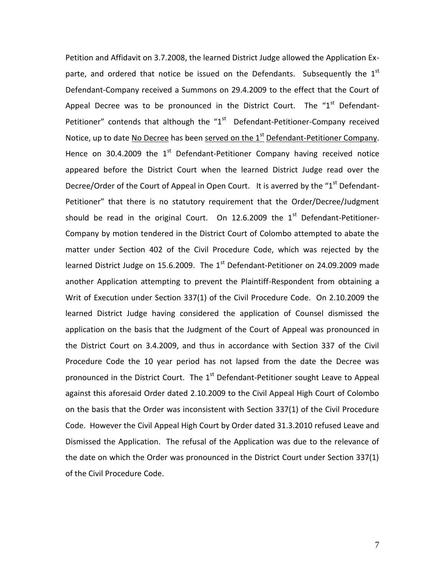Petition and Affidavit on 3.7.2008, the learned District Judge allowed the Application Exparte, and ordered that notice be issued on the Defendants. Subsequently the  $1<sup>st</sup>$ Defendant-Company received a Summons on 29.4.2009 to the effect that the Court of Appeal Decree was to be pronounced in the District Court. The " $1<sup>st</sup>$  Defendant-Petitioner" contends that although the " $1<sup>st</sup>$  Defendant-Petitioner-Company received Notice, up to date No Decree has been served on the 1<sup>st</sup> Defendant-Petitioner Company. Hence on 30.4.2009 the  $1<sup>st</sup>$  Defendant-Petitioner Company having received notice appeared before the District Court when the learned District Judge read over the Decree/Order of the Court of Appeal in Open Court. It is averred by the "1<sup>st</sup> Defendant-Petitioner" that there is no statutory requirement that the Order/Decree/Judgment should be read in the original Court. On 12.6.2009 the  $1<sup>st</sup>$  Defendant-Petitioner-Company by motion tendered in the District Court of Colombo attempted to abate the matter under Section 402 of the Civil Procedure Code, which was rejected by the learned District Judge on 15.6.2009. The  $1<sup>st</sup>$  Defendant-Petitioner on 24.09.2009 made another Application attempting to prevent the Plaintiff-Respondent from obtaining a Writ of Execution under Section 337(1) of the Civil Procedure Code. On 2.10.2009 the learned District Judge having considered the application of Counsel dismissed the application on the basis that the Judgment of the Court of Appeal was pronounced in the District Court on 3.4.2009, and thus in accordance with Section 337 of the Civil Procedure Code the 10 year period has not lapsed from the date the Decree was pronounced in the District Court. The 1<sup>st</sup> Defendant-Petitioner sought Leave to Appeal against this aforesaid Order dated 2.10.2009 to the Civil Appeal High Court of Colombo on the basis that the Order was inconsistent with Section 337(1) of the Civil Procedure Code. However the Civil Appeal High Court by Order dated 31.3.2010 refused Leave and Dismissed the Application. The refusal of the Application was due to the relevance of the date on which the Order was pronounced in the District Court under Section 337(1) of the Civil Procedure Code.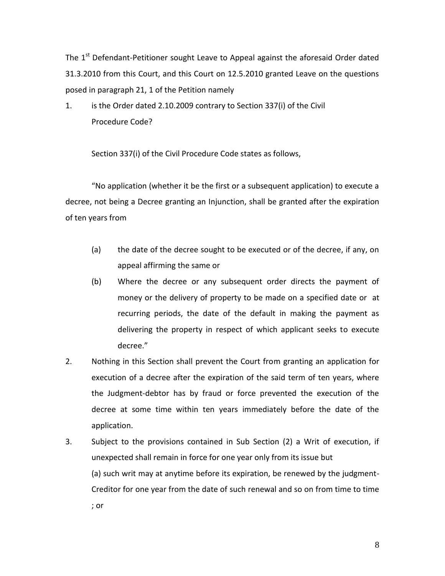The  $1<sup>st</sup>$  Defendant-Petitioner sought Leave to Appeal against the aforesaid Order dated 31.3.2010 from this Court, and this Court on 12.5.2010 granted Leave on the questions posed in paragraph 21, 1 of the Petition namely

1. is the Order dated 2.10.2009 contrary to Section 337(i) of the Civil Procedure Code?

Section 337(i) of the Civil Procedure Code states as follows,

"No application (whether it be the first or a subsequent application) to execute a decree, not being a Decree granting an Injunction, shall be granted after the expiration of ten years from

- (a) the date of the decree sought to be executed or of the decree, if any, on appeal affirming the same or
- (b) Where the decree or any subsequent order directs the payment of money or the delivery of property to be made on a specified date or at recurring periods, the date of the default in making the payment as delivering the property in respect of which applicant seeks to execute decree."
- 2. Nothing in this Section shall prevent the Court from granting an application for execution of a decree after the expiration of the said term of ten years, where the Judgment-debtor has by fraud or force prevented the execution of the decree at some time within ten years immediately before the date of the application.
- 3. Subject to the provisions contained in Sub Section (2) a Writ of execution, if unexpected shall remain in force for one year only from its issue but (a) such writ may at anytime before its expiration, be renewed by the judgment-Creditor for one year from the date of such renewal and so on from time to time ; or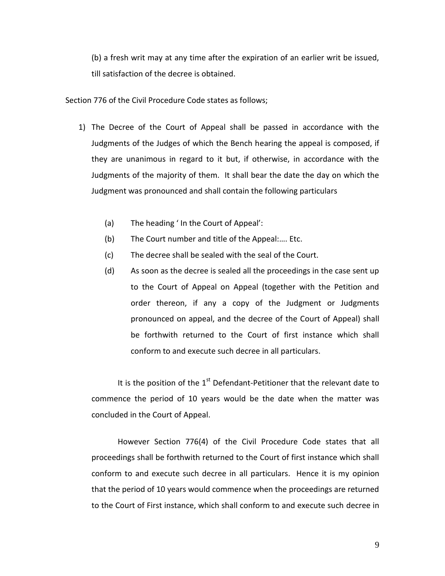(b) a fresh writ may at any time after the expiration of an earlier writ be issued, till satisfaction of the decree is obtained.

Section 776 of the Civil Procedure Code states as follows;

- 1) The Decree of the Court of Appeal shall be passed in accordance with the Judgments of the Judges of which the Bench hearing the appeal is composed, if they are unanimous in regard to it but, if otherwise, in accordance with the Judgments of the majority of them. It shall bear the date the day on which the Judgment was pronounced and shall contain the following particulars
	- (a) The heading ' In the Court of Appeal':
	- (b) The Court number and title of the Appeal:…. Etc.
	- (c) The decree shall be sealed with the seal of the Court.
	- (d) As soon as the decree is sealed all the proceedings in the case sent up to the Court of Appeal on Appeal (together with the Petition and order thereon, if any a copy of the Judgment or Judgments pronounced on appeal, and the decree of the Court of Appeal) shall be forthwith returned to the Court of first instance which shall conform to and execute such decree in all particulars.

It is the position of the  $1<sup>st</sup>$  Defendant-Petitioner that the relevant date to commence the period of 10 years would be the date when the matter was concluded in the Court of Appeal.

However Section 776(4) of the Civil Procedure Code states that all proceedings shall be forthwith returned to the Court of first instance which shall conform to and execute such decree in all particulars. Hence it is my opinion that the period of 10 years would commence when the proceedings are returned to the Court of First instance, which shall conform to and execute such decree in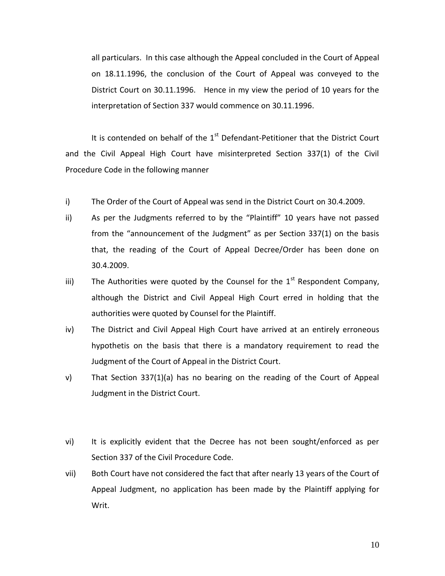all particulars. In this case although the Appeal concluded in the Court of Appeal on 18.11.1996, the conclusion of the Court of Appeal was conveyed to the District Court on 30.11.1996. Hence in my view the period of 10 years for the interpretation of Section 337 would commence on 30.11.1996.

It is contended on behalf of the  $1<sup>st</sup>$  Defendant-Petitioner that the District Court and the Civil Appeal High Court have misinterpreted Section 337(1) of the Civil Procedure Code in the following manner

- i) The Order of the Court of Appeal was send in the District Court on 30.4.2009.
- ii) As per the Judgments referred to by the "Plaintiff" 10 years have not passed from the "announcement of the Judgment" as per Section 337(1) on the basis that, the reading of the Court of Appeal Decree/Order has been done on 30.4.2009.
- iii) The Authorities were quoted by the Counsel for the  $1<sup>st</sup>$  Respondent Company, although the District and Civil Appeal High Court erred in holding that the authorities were quoted by Counsel for the Plaintiff.
- iv) The District and Civil Appeal High Court have arrived at an entirely erroneous hypothetis on the basis that there is a mandatory requirement to read the Judgment of the Court of Appeal in the District Court.
- v) That Section 337(1)(a) has no bearing on the reading of the Court of Appeal Judgment in the District Court.
- vi) It is explicitly evident that the Decree has not been sought/enforced as per Section 337 of the Civil Procedure Code.
- vii) Both Court have not considered the fact that after nearly 13 years of the Court of Appeal Judgment, no application has been made by the Plaintiff applying for Writ.

10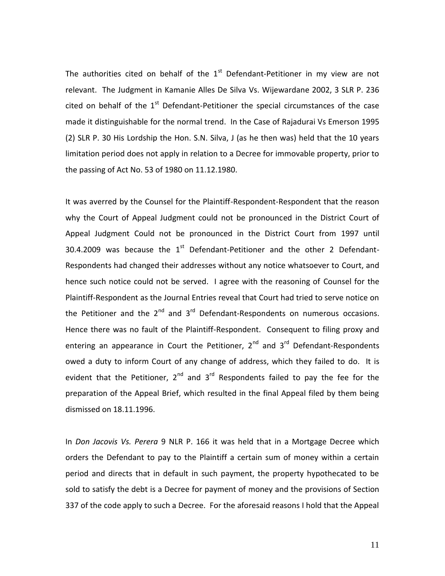The authorities cited on behalf of the  $1<sup>st</sup>$  Defendant-Petitioner in my view are not relevant. The Judgment in Kamanie Alles De Silva Vs. Wijewardane 2002, 3 SLR P. 236 cited on behalf of the  $1<sup>st</sup>$  Defendant-Petitioner the special circumstances of the case made it distinguishable for the normal trend. In the Case of Rajadurai Vs Emerson 1995 (2) SLR P. 30 His Lordship the Hon. S.N. Silva, J (as he then was) held that the 10 years limitation period does not apply in relation to a Decree for immovable property, prior to the passing of Act No. 53 of 1980 on 11.12.1980.

It was averred by the Counsel for the Plaintiff-Respondent-Respondent that the reason why the Court of Appeal Judgment could not be pronounced in the District Court of Appeal Judgment Could not be pronounced in the District Court from 1997 until 30.4.2009 was because the  $1<sup>st</sup>$  Defendant-Petitioner and the other 2 Defendant-Respondents had changed their addresses without any notice whatsoever to Court, and hence such notice could not be served. I agree with the reasoning of Counsel for the Plaintiff-Respondent as the Journal Entries reveal that Court had tried to serve notice on the Petitioner and the  $2^{nd}$  and  $3^{rd}$  Defendant-Respondents on numerous occasions. Hence there was no fault of the Plaintiff-Respondent. Consequent to filing proxy and entering an appearance in Court the Petitioner,  $2^{nd}$  and  $3^{rd}$  Defendant-Respondents owed a duty to inform Court of any change of address, which they failed to do. It is evident that the Petitioner,  $2^{nd}$  and  $3^{rd}$  Respondents failed to pay the fee for the preparation of the Appeal Brief, which resulted in the final Appeal filed by them being dismissed on 18.11.1996.

In *Don Jacovis Vs. Perera* 9 NLR P. 166 it was held that in a Mortgage Decree which orders the Defendant to pay to the Plaintiff a certain sum of money within a certain period and directs that in default in such payment, the property hypothecated to be sold to satisfy the debt is a Decree for payment of money and the provisions of Section 337 of the code apply to such a Decree. For the aforesaid reasons I hold that the Appeal

11